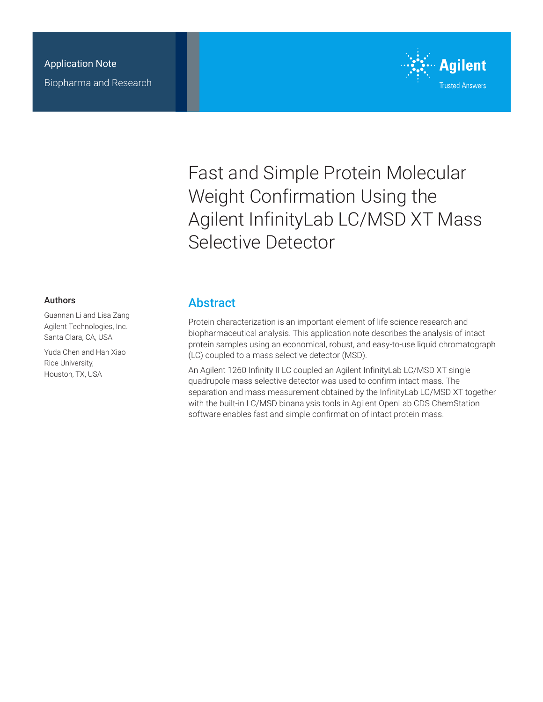

Fast and Simple Protein Molecular Weight Confirmation Using the Agilent InfinityLab LC/MSD XT Mass Selective Detector

#### Authors

Guannan Li and Lisa Zang Agilent Technologies, Inc. Santa Clara, CA, USA

Yuda Chen and Han Xiao Rice University, Houston, TX, USA

### **Abstract**

Protein characterization is an important element of life science research and biopharmaceutical analysis. This application note describes the analysis of intact protein samples using an economical, robust, and easy-to-use liquid chromatograph (LC) coupled to a mass selective detector (MSD).

An Agilent 1260 Infinity II LC coupled an Agilent InfinityLab LC/MSD XT single quadrupole mass selective detector was used to confirm intact mass. The separation and mass measurement obtained by the InfinityLab LC/MSD XT together with the built-in LC/MSD bioanalysis tools in Agilent OpenLab CDS ChemStation software enables fast and simple confirmation of intact protein mass.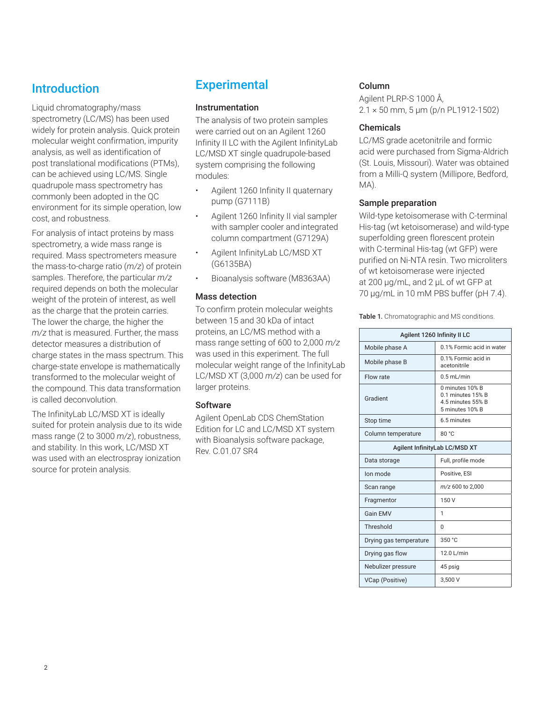## Introduction

Liquid chromatography/mass spectrometry (LC/MS) has been used widely for protein analysis. Quick protein molecular weight confirmation, impurity analysis, as well as identification of post translational modifications (PTMs), can be achieved using LC/MS. Single quadrupole mass spectrometry has commonly been adopted in the QC environment for its simple operation, low cost, and robustness.

For analysis of intact proteins by mass spectrometry, a wide mass range is required. Mass spectrometers measure the mass-to-charge ratio (*m/z*) of protein samples. Therefore, the particular *m/z* required depends on both the molecular weight of the protein of interest, as well as the charge that the protein carries. The lower the charge, the higher the *m/z* that is measured. Further, the mass detector measures a distribution of charge states in the mass spectrum. This charge-state envelope is mathematically transformed to the molecular weight of the compound. This data transformation is called deconvolution.

The InfinityLab LC/MSD XT is ideally suited for protein analysis due to its wide mass range (2 to 3000 *m/z*), robustness, and stability. In this work, LC/MSD XT was used with an electrospray ionization source for protein analysis.

# **Experimental**

#### Instrumentation

The analysis of two protein samples were carried out on an Agilent 1260 Infinity II LC with the Agilent InfinityLab LC/MSD XT single quadrupole-based system comprising the following modules:

- Agilent 1260 Infinity II quaternary pump (G7111B)
- Agilent 1260 Infinity II vial sampler with sampler cooler and integrated column compartment (G7129A)
- Agilent InfinityLab LC/MSD XT (G6135BA)
- Bioanalysis software (M8363AA)

#### Mass detection

To confirm protein molecular weights between 15 and 30 kDa of intact proteins, an LC/MS method with a mass range setting of 600 to 2,000 *m/z* was used in this experiment. The full molecular weight range of the InfinityLab LC/MSD XT (3,000 *m/z*) can be used for larger proteins.

#### **Software**

Agilent OpenLab CDS ChemStation Edition for LC and LC/MSD XT system with Bioanalysis software package, Rev. C.01.07 SR4

#### Column

Agilent PLRP-S 1000 Å, 2.1 × 50 mm, 5 µm (p/n PL1912-1502)

#### Chemicals

LC/MS grade acetonitrile and formic acid were purchased from Sigma-Aldrich (St. Louis, Missouri). Water was obtained from a Milli-Q system (Millipore, Bedford, MA).

#### Sample preparation

Wild-type ketoisomerase with C-terminal His-tag (wt ketoisomerase) and wild-type superfolding green florescent protein with C-terminal His-tag (wt GFP) were purified on Ni-NTA resin. Two microliters of wt ketoisomerase were injected at 200 µg/mL, and 2 µL of wt GFP at 70 µg/mL in 10 mM PBS buffer (pH 7.4).

|  | <b>Table 1.</b> Chromatographic and MS conditions. |  |  |
|--|----------------------------------------------------|--|--|
|--|----------------------------------------------------|--|--|

| Agilent 1260 Infinity II LC   |                                                                              |  |  |
|-------------------------------|------------------------------------------------------------------------------|--|--|
| Mobile phase A                | 0.1% Formic acid in water                                                    |  |  |
| Mobile phase B                | 0.1% Formic acid in<br>acetonitrile                                          |  |  |
| Flow rate                     | $0.5$ mL/min                                                                 |  |  |
| Gradient                      | 0 minutes 10% B<br>0.1 minutes 15% B<br>4.5 minutes 55% B<br>5 minutes 10% B |  |  |
| Stop time                     | 6.5 minutes                                                                  |  |  |
| Column temperature            | 80 °C                                                                        |  |  |
| Agilent InfinityLab LC/MSD XT |                                                                              |  |  |
| Data storage                  | Full, profile mode                                                           |  |  |
| Ion mode                      | Positive, ESI                                                                |  |  |
| Scan range                    | m/z 600 to 2,000                                                             |  |  |
| Fragmentor                    | 150 V                                                                        |  |  |
| <b>Gain FMV</b>               | 1                                                                            |  |  |
| Threshold                     | 0                                                                            |  |  |
| Drying gas temperature        | 350 °C                                                                       |  |  |
| Drying gas flow               | 12.0 L/min                                                                   |  |  |
| Nebulizer pressure            | 45 psig                                                                      |  |  |
| VCap (Positive)               | 3.500 V                                                                      |  |  |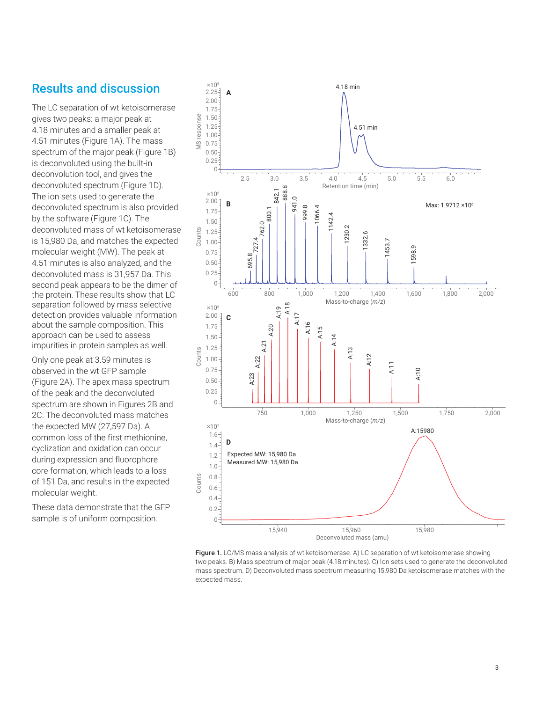### Results and discussion

The LC separation of wt ketoisomerase gives two peaks: a major peak at 4.18 minutes and a smaller peak at 4.51 minutes (Figure 1A). The mass spectrum of the major peak (Figure 1B) is deconvoluted using the built-in deconvolution tool, and gives the deconvoluted spectrum (Figure 1D). The ion sets used to generate the deconvoluted spectrum is also provided by the software (Figure 1C). The deconvoluted mass of wt ketoisomerase is 15,980 Da, and matches the expected molecular weight (MW). The peak at 4.51 minutes is also analyzed, and the deconvoluted mass is 31,957 Da. This second peak appears to be the dimer of the protein. These results show that LC separation followed by mass selective detection provides valuable information about the sample composition. This approach can be used to assess impurities in protein samples as well.

Only one peak at 3.59 minutes is observed in the wt GFP sample (Figure 2A). The apex mass spectrum of the peak and the deconvoluted spectrum are shown in Figures 2B and 2C. The deconvoluted mass matches the expected MW (27,597 Da). A common loss of the first methionine, cyclization and oxidation can occur during expression and fluorophore core formation, which leads to a loss of 151 Da, and results in the expected molecular weight.

These data demonstrate that the GFP sample is of uniform composition.



Figure 1. LC/MS mass analysis of wt ketoisomerase. A) LC separation of wt ketoisomerase showing two peaks. B) Mass spectrum of major peak (4.18 minutes). C) Ion sets used to generate the deconvoluted mass spectrum. D) Deconvoluted mass spectrum measuring 15,980 Da ketoisomerase matches with the expected mass.